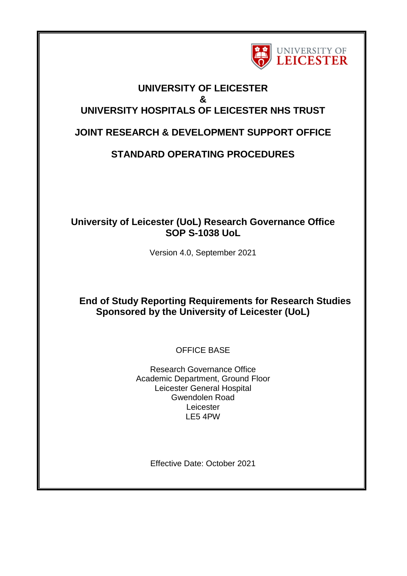

# **UNIVERSITY OF LEICESTER & UNIVERSITY HOSPITALS OF LEICESTER NHS TRUST**

# **JOINT RESEARCH & DEVELOPMENT SUPPORT OFFICE**

# **STANDARD OPERATING PROCEDURES**

## **University of Leicester (UoL) Research Governance Office SOP S-1038 UoL**

Version 4.0, September 2021

# **End of Study Reporting Requirements for Research Studies Sponsored by the University of Leicester (UoL)**

OFFICE BASE

Research Governance Office Academic Department, Ground Floor Leicester General Hospital Gwendolen Road Leicester LE5 4PW

Effective Date: October 2021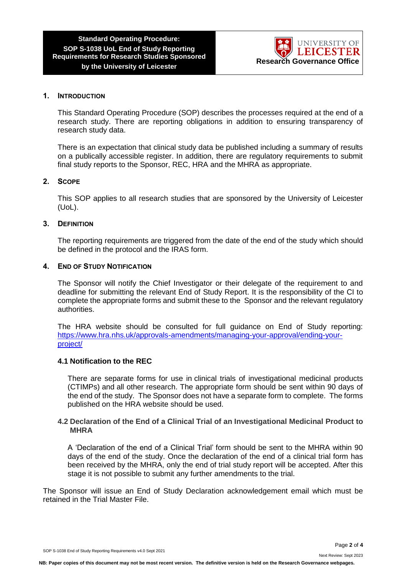

#### **1. INTRODUCTION**

This Standard Operating Procedure (SOP) describes the processes required at the end of a research study. There are reporting obligations in addition to ensuring transparency of research study data.

There is an expectation that clinical study data be published including a summary of results on a publically accessible register. In addition, there are regulatory requirements to submit final study reports to the Sponsor, REC, HRA and the MHRA as appropriate.

#### **2. SCOPE**

This SOP applies to all research studies that are sponsored by the University of Leicester (UoL).

#### **3. DEFINITION**

The reporting requirements are triggered from the date of the end of the study which should be defined in the protocol and the IRAS form.

#### **4. END OF STUDY NOTIFICATION**

The Sponsor will notify the Chief Investigator or their delegate of the requirement to and deadline for submitting the relevant End of Study Report. It is the responsibility of the CI to complete the appropriate forms and submit these to the Sponsor and the relevant regulatory authorities.

The HRA website should be consulted for full guidance on End of Study reporting: [https://www.hra.nhs.uk/approvals-amendments/managing-your-approval/ending-your](https://www.hra.nhs.uk/approvals-amendments/managing-your-approval/ending-your-project/)[project/](https://www.hra.nhs.uk/approvals-amendments/managing-your-approval/ending-your-project/)

#### **4.1 Notification to the REC**

There are separate forms for use in [clinical trials of investigational medicinal products](http://www.hra.nhs.uk/resources/end-of-study-notification-clinical-trials-of-investigational-medicinal-products-ctimps-eudract-form/)  [\(CTIMPs\)](http://www.hra.nhs.uk/resources/end-of-study-notification-clinical-trials-of-investigational-medicinal-products-ctimps-eudract-form/) and [all other research.](http://www.hra.nhs.uk/resources/end-of-study-notification-studies-other-than-clinical-trials-of-investigational-medicinal-products/) The appropriate form should be sent within 90 days of the end of the study. The Sponsor does not have a separate form to complete. The forms published on the HRA website should be used.

#### **4.2 Declaration of the End of a Clinical Trial of an Investigational Medicinal Product to MHRA**

A 'Declaration of the end of a Clinical Trial' form should be sent to the MHRA within 90 days of the end of the study. Once the declaration of the end of a clinical trial form has been received by the MHRA, only the end of trial study report will be accepted. After this stage it is not possible to submit any further amendments to the trial.

The Sponsor will issue an End of Study Declaration acknowledgement email which must be retained in the Trial Master File.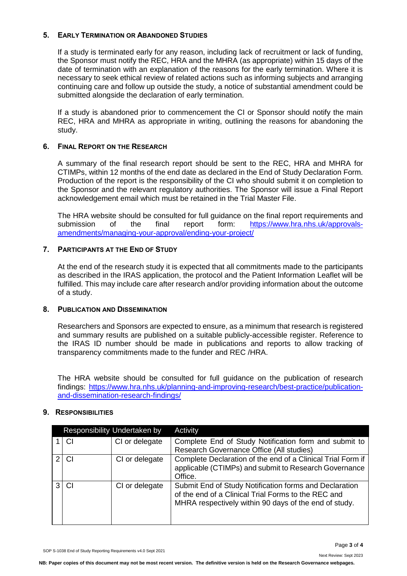### **5. EARLY TERMINATION OR ABANDONED STUDIES**

If a study is terminated early for any reason, including lack of recruitment or lack of funding, the Sponsor must notify the REC, HRA and the MHRA (as appropriate) within 15 days of the date of termination with an explanation of the reasons for the early termination. Where it is necessary to seek ethical review of related actions such as informing subjects and arranging continuing care and follow up outside the study, a notice of substantial amendment could be submitted alongside the declaration of early termination.

If a study is abandoned prior to commencement the CI or Sponsor should notify the main REC, HRA and MHRA as appropriate in writing, outlining the reasons for abandoning the study.

### **6. FINAL REPORT ON THE RESEARCH**

A summary of the final research report should be sent to the REC, HRA and MHRA for CTIMPs, within 12 months of the end date as declared in the End of Study Declaration Form. Production of the report is the responsibility of the CI who should submit it on completion to the Sponsor and the relevant regulatory authorities. The Sponsor will issue a Final Report acknowledgement email which must be retained in the Trial Master File.

The HRA website should be consulted for full guidance on the final report requirements and submission of the final report form: [https://www.hra.nhs.uk/approvals](https://www.hra.nhs.uk/approvals-amendments/managing-your-approval/ending-your-project/)[amendments/managing-your-approval/ending-your-project/](https://www.hra.nhs.uk/approvals-amendments/managing-your-approval/ending-your-project/)

#### **7. PARTICIPANTS AT THE END OF STUDY**

At the end of the research study it is expected that all commitments made to the participants as described in the IRAS application, the protocol and the Patient Information Leaflet will be fulfilled. This may include care after research and/or providing information about the outcome of a study.

#### **8. PUBLICATION AND DISSEMINATION**

Researchers and Sponsors are expected to ensure, as a minimum that research is registered and summary results are published on a suitable publicly-accessible register. Reference to the IRAS ID number should be made in publications and reports to allow tracking of transparency commitments made to the funder and REC /HRA.

The HRA website should be consulted for full guidance on the publication of research findings: [https://www.hra.nhs.uk/planning-and-improving-research/best-practice/publication](https://www.hra.nhs.uk/planning-and-improving-research/best-practice/publication-and-dissemination-research-findings/)[and-dissemination-research-findings/](https://www.hra.nhs.uk/planning-and-improving-research/best-practice/publication-and-dissemination-research-findings/)

### **9. RESPONSIBILITIES**

| Responsibility Undertaken by |           |                | Activity                                                                                                                                                               |
|------------------------------|-----------|----------------|------------------------------------------------------------------------------------------------------------------------------------------------------------------------|
|                              | <b>CI</b> | CI or delegate | Complete End of Study Notification form and submit to<br>Research Governance Office (All studies)                                                                      |
| າ                            | CI        | CI or delegate | Complete Declaration of the end of a Clinical Trial Form if<br>applicable (CTIMPs) and submit to Research Governance<br>Office.                                        |
| 3                            | CI        | CI or delegate | Submit End of Study Notification forms and Declaration<br>of the end of a Clinical Trial Forms to the REC and<br>MHRA respectively within 90 days of the end of study. |

**NB: Paper copies of this document may not be most recent version. The definitive version is held on the Research Governance webpages.**